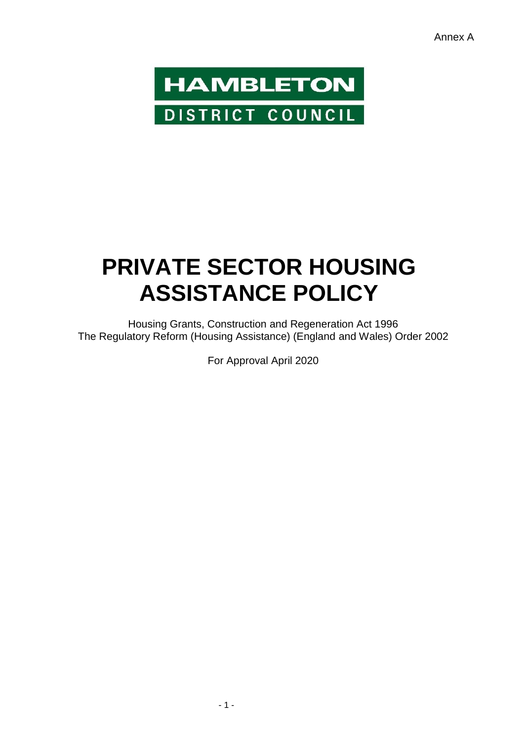

# **PRIVATE SECTOR HOUSING ASSISTANCE POLICY**

Housing Grants, Construction and Regeneration Act 1996 The Regulatory Reform (Housing Assistance) (England and Wales) Order 2002

For Approval April 2020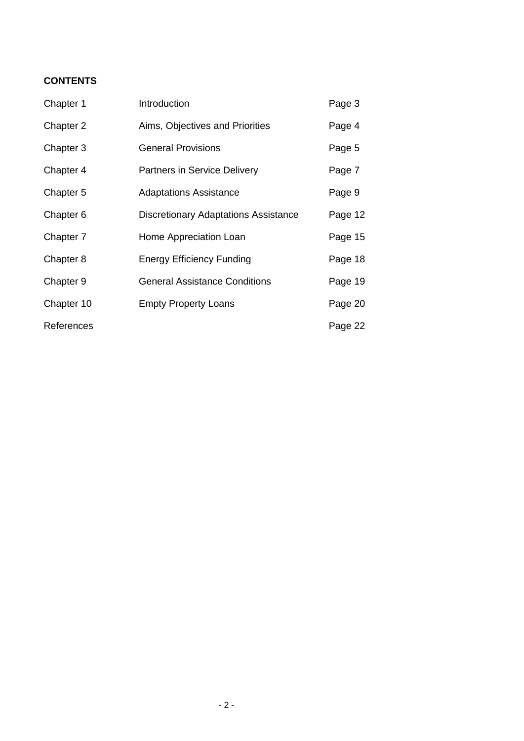# **CONTENTS**

| Chapter 1  | Introduction                                | Page 3  |
|------------|---------------------------------------------|---------|
| Chapter 2  | Aims, Objectives and Priorities             | Page 4  |
| Chapter 3  | <b>General Provisions</b>                   | Page 5  |
| Chapter 4  | <b>Partners in Service Delivery</b>         | Page 7  |
| Chapter 5  | <b>Adaptations Assistance</b>               | Page 9  |
| Chapter 6  | <b>Discretionary Adaptations Assistance</b> | Page 12 |
| Chapter 7  | Home Appreciation Loan                      | Page 15 |
| Chapter 8  | <b>Energy Efficiency Funding</b>            | Page 18 |
| Chapter 9  | <b>General Assistance Conditions</b>        | Page 19 |
| Chapter 10 | <b>Empty Property Loans</b>                 | Page 20 |
| References |                                             | Page 22 |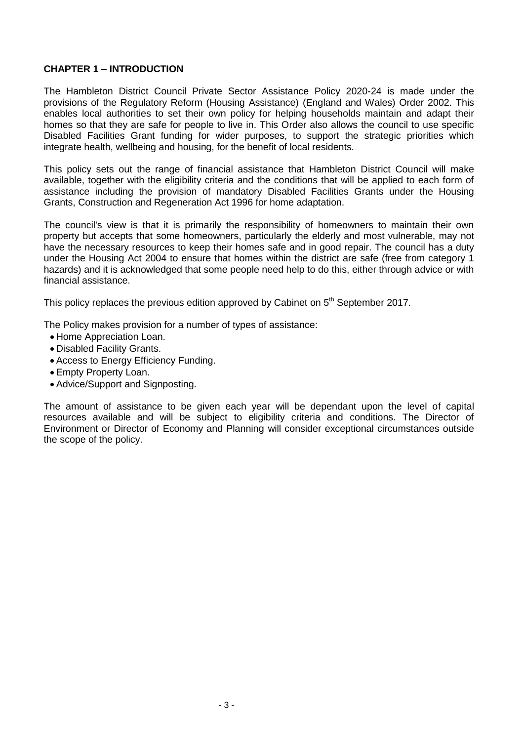# **CHAPTER 1 – INTRODUCTION**

The Hambleton District Council Private Sector Assistance Policy 2020-24 is made under the provisions of the Regulatory Reform (Housing Assistance) (England and Wales) Order 2002. This enables local authorities to set their own policy for helping households maintain and adapt their homes so that they are safe for people to live in. This Order also allows the council to use specific Disabled Facilities Grant funding for wider purposes, to support the strategic priorities which integrate health, wellbeing and housing, for the benefit of local residents.

This policy sets out the range of financial assistance that Hambleton District Council will make available, together with the eligibility criteria and the conditions that will be applied to each form of assistance including the provision of mandatory Disabled Facilities Grants under the Housing Grants, Construction and Regeneration Act 1996 for home adaptation.

The council's view is that it is primarily the responsibility of homeowners to maintain their own property but accepts that some homeowners, particularly the elderly and most vulnerable, may not have the necessary resources to keep their homes safe and in good repair. The council has a duty under the Housing Act 2004 to ensure that homes within the district are safe (free from category 1 hazards) and it is acknowledged that some people need help to do this, either through advice or with financial assistance.

This policy replaces the previous edition approved by Cabinet on  $5<sup>th</sup>$  September 2017.

The Policy makes provision for a number of types of assistance:

- Home Appreciation Loan.
- Disabled Facility Grants.
- Access to Energy Efficiency Funding.
- Empty Property Loan.
- Advice/Support and Signposting.

The amount of assistance to be given each year will be dependant upon the level of capital resources available and will be subject to eligibility criteria and conditions. The Director of Environment or Director of Economy and Planning will consider exceptional circumstances outside the scope of the policy.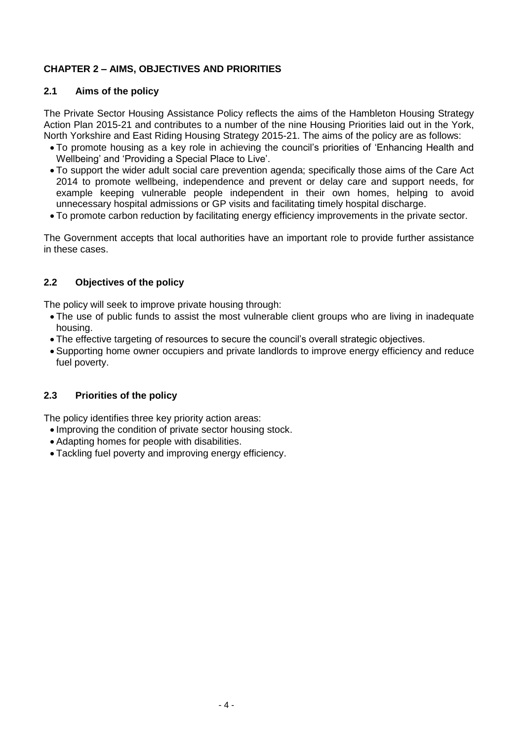# **CHAPTER 2 – AIMS, OBJECTIVES AND PRIORITIES**

# **2.1 Aims of the policy**

The Private Sector Housing Assistance Policy reflects the aims of the Hambleton Housing Strategy Action Plan 2015-21 and contributes to a number of the nine Housing Priorities laid out in the York, North Yorkshire and East Riding Housing Strategy 2015-21. The aims of the policy are as follows:

- To promote housing as a key role in achieving the council's priorities of 'Enhancing Health and Wellbeing' and 'Providing a Special Place to Live'.
- To support the wider adult social care prevention agenda; specifically those aims of the Care Act 2014 to promote wellbeing, independence and prevent or delay care and support needs, for example keeping vulnerable people independent in their own homes, helping to avoid unnecessary hospital admissions or GP visits and facilitating timely hospital discharge.
- To promote carbon reduction by facilitating energy efficiency improvements in the private sector.

The Government accepts that local authorities have an important role to provide further assistance in these cases.

## **2.2 Objectives of the policy**

The policy will seek to improve private housing through:

- The use of public funds to assist the most vulnerable client groups who are living in inadequate housing.
- The effective targeting of resources to secure the council's overall strategic objectives.
- Supporting home owner occupiers and private landlords to improve energy efficiency and reduce fuel poverty.

# **2.3 Priorities of the policy**

The policy identifies three key priority action areas:

- Improving the condition of private sector housing stock.
- Adapting homes for people with disabilities.
- Tackling fuel poverty and improving energy efficiency.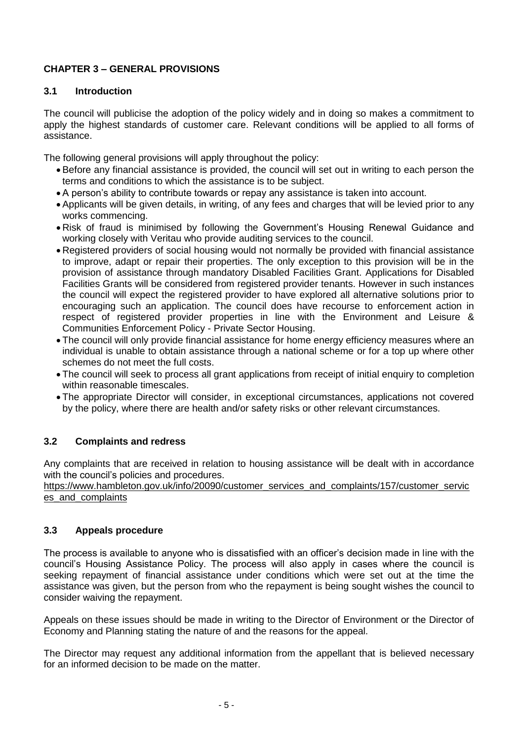# **CHAPTER 3 – GENERAL PROVISIONS**

## **3.1 Introduction**

The council will publicise the adoption of the policy widely and in doing so makes a commitment to apply the highest standards of customer care. Relevant conditions will be applied to all forms of assistance.

The following general provisions will apply throughout the policy:

- Before any financial assistance is provided, the council will set out in writing to each person the terms and conditions to which the assistance is to be subject.
- A person's ability to contribute towards or repay any assistance is taken into account.
- Applicants will be given details, in writing, of any fees and charges that will be levied prior to any works commencing.
- Risk of fraud is minimised by following the Government's Housing Renewal Guidance and working closely with Veritau who provide auditing services to the council.
- Registered providers of social housing would not normally be provided with financial assistance to improve, adapt or repair their properties. The only exception to this provision will be in the provision of assistance through mandatory Disabled Facilities Grant. Applications for Disabled Facilities Grants will be considered from registered provider tenants. However in such instances the council will expect the registered provider to have explored all alternative solutions prior to encouraging such an application. The council does have recourse to enforcement action in respect of registered provider properties in line with the Environment and Leisure & Communities Enforcement Policy - Private Sector Housing.
- The council will only provide financial assistance for home energy efficiency measures where an individual is unable to obtain assistance through a national scheme or for a top up where other schemes do not meet the full costs.
- The council will seek to process all grant applications from receipt of initial enquiry to completion within reasonable timescales.
- The appropriate Director will consider, in exceptional circumstances, applications not covered by the policy, where there are health and/or safety risks or other relevant circumstances.

# **3.2 Complaints and redress**

Any complaints that are received in relation to housing assistance will be dealt with in accordance with the council's policies and procedures.

[https://www.hambleton.gov.uk/info/20090/customer\\_services\\_and\\_complaints/157/customer\\_servic](https://www.hambleton.gov.uk/info/20090/customer_services_and_complaints/157/customer_services_and_complaints) es and complaints

#### **3.3 Appeals procedure**

The process is available to anyone who is dissatisfied with an officer's decision made in line with the council's Housing Assistance Policy. The process will also apply in cases where the council is seeking repayment of financial assistance under conditions which were set out at the time the assistance was given, but the person from who the repayment is being sought wishes the council to consider waiving the repayment.

Appeals on these issues should be made in writing to the Director of Environment or the Director of Economy and Planning stating the nature of and the reasons for the appeal.

The Director may request any additional information from the appellant that is believed necessary for an informed decision to be made on the matter.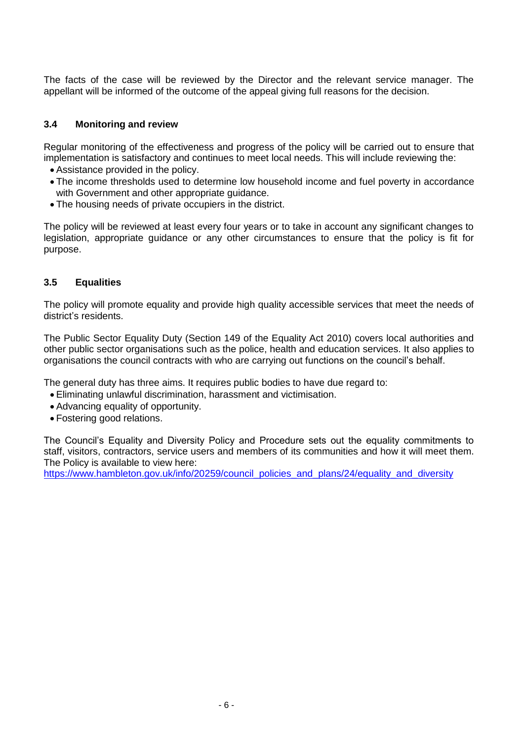The facts of the case will be reviewed by the Director and the relevant service manager. The appellant will be informed of the outcome of the appeal giving full reasons for the decision.

## **3.4 Monitoring and review**

Regular monitoring of the effectiveness and progress of the policy will be carried out to ensure that implementation is satisfactory and continues to meet local needs. This will include reviewing the:

- Assistance provided in the policy.
- The income thresholds used to determine low household income and fuel poverty in accordance with Government and other appropriate guidance.
- The housing needs of private occupiers in the district.

The policy will be reviewed at least every four years or to take in account any significant changes to legislation, appropriate guidance or any other circumstances to ensure that the policy is fit for purpose.

## **3.5 Equalities**

The policy will promote equality and provide high quality accessible services that meet the needs of district's residents.

The Public Sector Equality Duty (Section 149 of the Equality Act 2010) covers local authorities and other public sector organisations such as the police, health and education services. It also applies to organisations the council contracts with who are carrying out functions on the council's behalf.

The general duty has three aims. It requires public bodies to have due regard to:

- Eliminating unlawful discrimination, harassment and victimisation.
- Advancing equality of opportunity.
- Fostering good relations.

The Council's Equality and Diversity Policy and Procedure sets out the equality commitments to staff, visitors, contractors, service users and members of its communities and how it will meet them. The Policy is available to view here:

[https://www.hambleton.gov.uk/info/20259/council\\_policies\\_and\\_plans/24/equality\\_and\\_diversity](https://www.hambleton.gov.uk/info/20259/council_policies_and_plans/24/equality_and_diversity)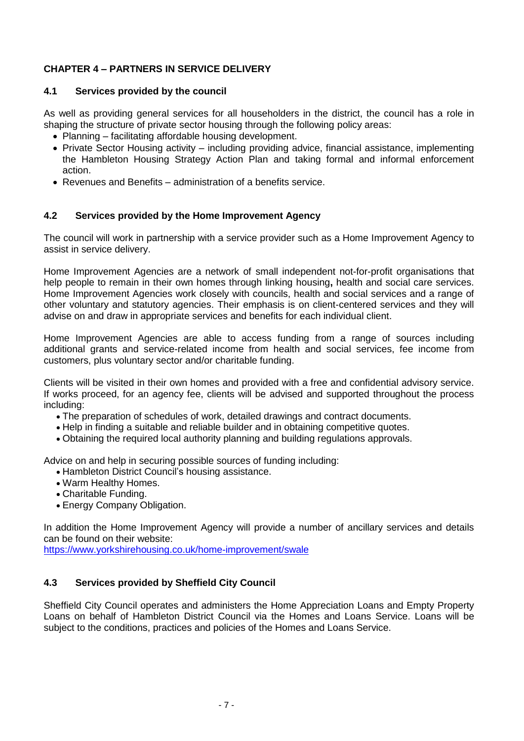# **CHAPTER 4 – PARTNERS IN SERVICE DELIVERY**

# **4.1 Services provided by the council**

As well as providing general services for all householders in the district, the council has a role in shaping the structure of private sector housing through the following policy areas:

- Planning facilitating affordable housing development.
- Private Sector Housing activity including providing advice, financial assistance, implementing the Hambleton Housing Strategy Action Plan and taking formal and informal enforcement action.
- Revenues and Benefits administration of a benefits service.

## **4.2 Services provided by the Home Improvement Agency**

The council will work in partnership with a service provider such as a Home Improvement Agency to assist in service delivery.

Home Improvement Agencies are a network of small independent not-for-profit organisations that help people to remain in their own homes through linking housing**,** health and social care services. Home Improvement Agencies work closely with councils, health and social services and a range of other voluntary and statutory agencies. Their emphasis is on client-centered services and they will advise on and draw in appropriate services and benefits for each individual client.

Home Improvement Agencies are able to access funding from a range of sources including additional grants and service-related income from health and social services, fee income from customers, plus voluntary sector and/or charitable funding.

Clients will be visited in their own homes and provided with a free and confidential advisory service. If works proceed, for an agency fee, clients will be advised and supported throughout the process including:

- The preparation of schedules of work, detailed drawings and contract documents.
- Help in finding a suitable and reliable builder and in obtaining competitive quotes.
- Obtaining the required local authority planning and building regulations approvals.

Advice on and help in securing possible sources of funding including:

- Hambleton District Council's housing assistance.
- Warm Healthy Homes.
- Charitable Funding.
- Energy Company Obligation.

In addition the Home Improvement Agency will provide a number of ancillary services and details can be found on their website:

<https://www.yorkshirehousing.co.uk/home-improvement/swale>

# **4.3 Services provided by Sheffield City Council**

Sheffield City Council operates and administers the Home Appreciation Loans and Empty Property Loans on behalf of Hambleton District Council via the Homes and Loans Service. Loans will be subject to the conditions, practices and policies of the Homes and Loans Service.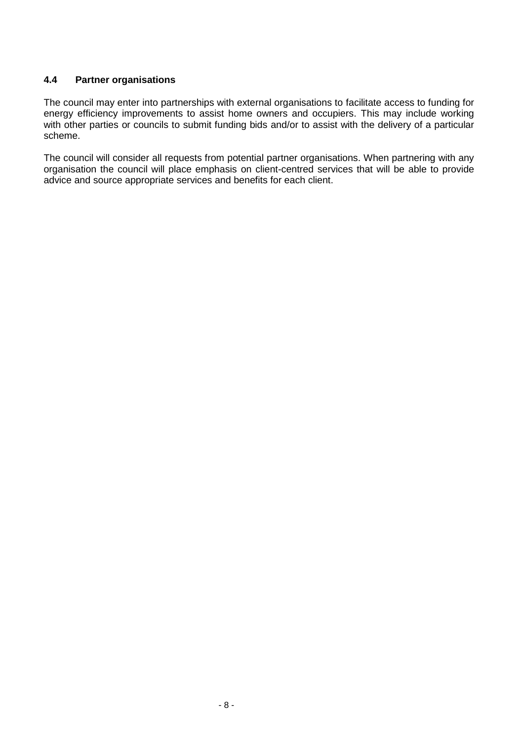## **4.4 Partner organisations**

The council may enter into partnerships with external organisations to facilitate access to funding for energy efficiency improvements to assist home owners and occupiers. This may include working with other parties or councils to submit funding bids and/or to assist with the delivery of a particular scheme.

The council will consider all requests from potential partner organisations. When partnering with any organisation the council will place emphasis on client-centred services that will be able to provide advice and source appropriate services and benefits for each client.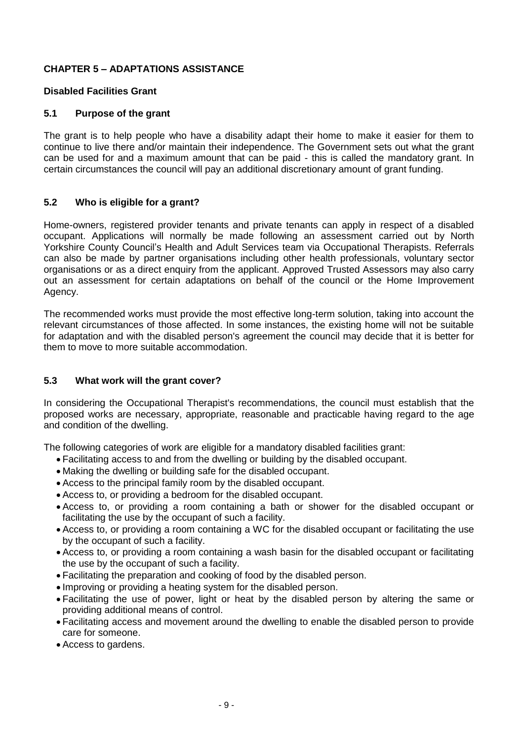# **CHAPTER 5 – ADAPTATIONS ASSISTANCE**

#### **Disabled Facilities Grant**

## **5.1 Purpose of the grant**

The grant is to help people who have a disability adapt their home to make it easier for them to continue to live there and/or maintain their independence. The Government sets out what the grant can be used for and a maximum amount that can be paid - this is called the mandatory grant. In certain circumstances the council will pay an additional discretionary amount of grant funding.

## **5.2 Who is eligible for a grant?**

Home-owners, registered provider tenants and private tenants can apply in respect of a disabled occupant. Applications will normally be made following an assessment carried out by North Yorkshire County Council's Health and Adult Services team via Occupational Therapists. Referrals can also be made by partner organisations including other health professionals, voluntary sector organisations or as a direct enquiry from the applicant. Approved Trusted Assessors may also carry out an assessment for certain adaptations on behalf of the council or the Home Improvement Agency.

The recommended works must provide the most effective long-term solution, taking into account the relevant circumstances of those affected. In some instances, the existing home will not be suitable for adaptation and with the disabled person's agreement the council may decide that it is better for them to move to more suitable accommodation.

## **5.3 What work will the grant cover?**

In considering the Occupational Therapist's recommendations, the council must establish that the proposed works are necessary, appropriate, reasonable and practicable having regard to the age and condition of the dwelling.

The following categories of work are eligible for a mandatory disabled facilities grant:

- Facilitating access to and from the dwelling or building by the disabled occupant.
- Making the dwelling or building safe for the disabled occupant.
- Access to the principal family room by the disabled occupant.
- Access to, or providing a bedroom for the disabled occupant.
- Access to, or providing a room containing a bath or shower for the disabled occupant or facilitating the use by the occupant of such a facility.
- Access to, or providing a room containing a WC for the disabled occupant or facilitating the use by the occupant of such a facility.
- Access to, or providing a room containing a wash basin for the disabled occupant or facilitating the use by the occupant of such a facility.
- Facilitating the preparation and cooking of food by the disabled person.
- Improving or providing a heating system for the disabled person.
- Facilitating the use of power, light or heat by the disabled person by altering the same or providing additional means of control.
- Facilitating access and movement around the dwelling to enable the disabled person to provide care for someone.
- Access to gardens.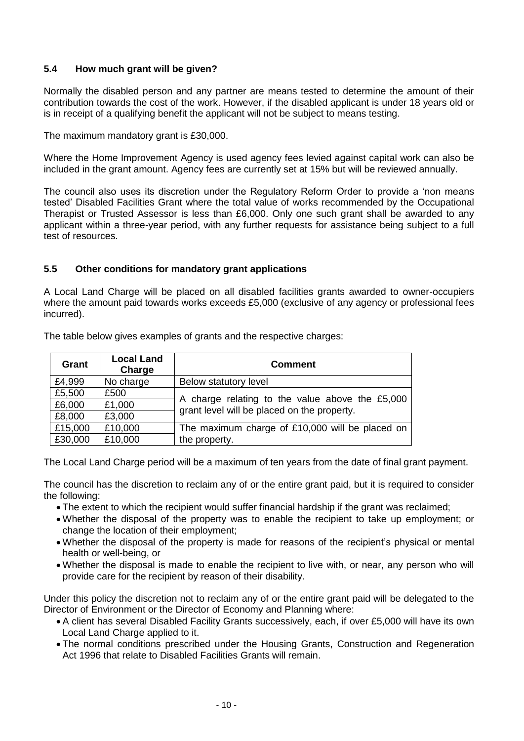# **5.4 How much grant will be given?**

Normally the disabled person and any partner are means tested to determine the amount of their contribution towards the cost of the work. However, if the disabled applicant is under 18 years old or is in receipt of a qualifying benefit the applicant will not be subject to means testing.

The maximum mandatory grant is £30,000.

Where the Home Improvement Agency is used agency fees levied against capital work can also be included in the grant amount. Agency fees are currently set at 15% but will be reviewed annually.

The council also uses its discretion under the Regulatory Reform Order to provide a 'non means tested' Disabled Facilities Grant where the total value of works recommended by the Occupational Therapist or Trusted Assessor is less than £6,000. Only one such grant shall be awarded to any applicant within a three-year period, with any further requests for assistance being subject to a full test of resources.

#### **5.5 Other conditions for mandatory grant applications**

A Local Land Charge will be placed on all disabled facilities grants awarded to owner-occupiers where the amount paid towards works exceeds £5,000 (exclusive of any agency or professional fees incurred).

| Grant   | <b>Local Land</b><br>Charge | <b>Comment</b>                                                                                 |  |
|---------|-----------------------------|------------------------------------------------------------------------------------------------|--|
| £4,999  | No charge                   | Below statutory level                                                                          |  |
| £5,500  | £500                        |                                                                                                |  |
| £6,000  | £1,000                      | A charge relating to the value above the £5,000<br>grant level will be placed on the property. |  |
| £8,000  | £3,000                      |                                                                                                |  |
| £15,000 | £10,000                     | The maximum charge of £10,000 will be placed on                                                |  |
| £30,000 | £10,000                     | the property.                                                                                  |  |

The table below gives examples of grants and the respective charges:

The Local Land Charge period will be a maximum of ten years from the date of final grant payment.

The council has the discretion to reclaim any of or the entire grant paid, but it is required to consider the following:

- The extent to which the recipient would suffer financial hardship if the grant was reclaimed;
- Whether the disposal of the property was to enable the recipient to take up employment; or change the location of their employment;
- Whether the disposal of the property is made for reasons of the recipient's physical or mental health or well-being, or
- Whether the disposal is made to enable the recipient to live with, or near, any person who will provide care for the recipient by reason of their disability.

Under this policy the discretion not to reclaim any of or the entire grant paid will be delegated to the Director of Environment or the Director of Economy and Planning where:

- A client has several Disabled Facility Grants successively, each, if over £5,000 will have its own Local Land Charge applied to it.
- The normal conditions prescribed under the Housing Grants, Construction and Regeneration Act 1996 that relate to Disabled Facilities Grants will remain.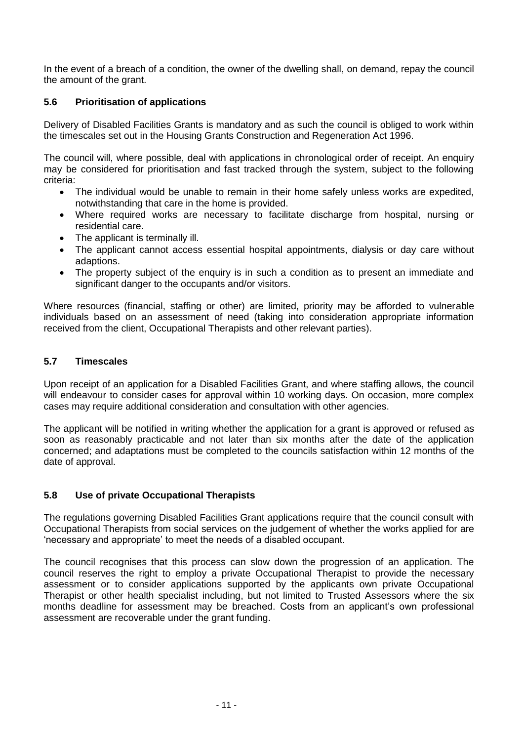In the event of a breach of a condition, the owner of the dwelling shall, on demand, repay the council the amount of the grant.

# **5.6 Prioritisation of applications**

Delivery of Disabled Facilities Grants is mandatory and as such the council is obliged to work within the timescales set out in the Housing Grants Construction and Regeneration Act 1996.

The council will, where possible, deal with applications in chronological order of receipt. An enquiry may be considered for prioritisation and fast tracked through the system, subject to the following criteria:

- The individual would be unable to remain in their home safely unless works are expedited, notwithstanding that care in the home is provided.
- Where required works are necessary to facilitate discharge from hospital, nursing or residential care.
- The applicant is terminally ill.
- The applicant cannot access essential hospital appointments, dialysis or day care without adaptions.
- The property subject of the enquiry is in such a condition as to present an immediate and significant danger to the occupants and/or visitors.

Where resources (financial, staffing or other) are limited, priority may be afforded to vulnerable individuals based on an assessment of need (taking into consideration appropriate information received from the client, Occupational Therapists and other relevant parties).

#### **5.7 Timescales**

Upon receipt of an application for a Disabled Facilities Grant, and where staffing allows, the council will endeavour to consider cases for approval within 10 working days. On occasion, more complex cases may require additional consideration and consultation with other agencies.

The applicant will be notified in writing whether the application for a grant is approved or refused as soon as reasonably practicable and not later than six months after the date of the application concerned; and adaptations must be completed to the councils satisfaction within 12 months of the date of approval.

#### **5.8 Use of private Occupational Therapists**

The regulations governing Disabled Facilities Grant applications require that the council consult with Occupational Therapists from social services on the judgement of whether the works applied for are 'necessary and appropriate' to meet the needs of a disabled occupant.

The council recognises that this process can slow down the progression of an application. The council reserves the right to employ a private Occupational Therapist to provide the necessary assessment or to consider applications supported by the applicants own private Occupational Therapist or other health specialist including, but not limited to Trusted Assessors where the six months deadline for assessment may be breached. Costs from an applicant's own professional assessment are recoverable under the grant funding.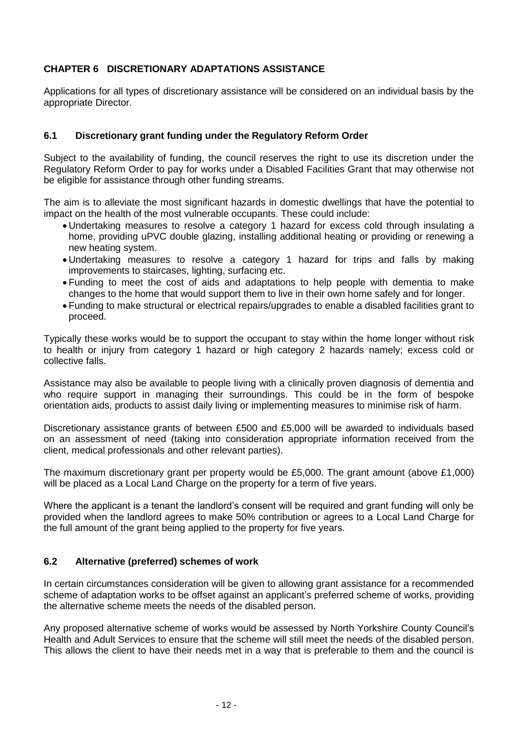# **CHAPTER 6 DISCRETIONARY ADAPTATIONS ASSISTANCE**

Applications for all types of discretionary assistance will be considered on an individual basis by the appropriate Director.

#### **6.1 Discretionary grant funding under the Regulatory Reform Order**

Subject to the availability of funding, the council reserves the right to use its discretion under the Regulatory Reform Order to pay for works under a Disabled Facilities Grant that may otherwise not be eligible for assistance through other funding streams.

The aim is to alleviate the most significant hazards in domestic dwellings that have the potential to impact on the health of the most vulnerable occupants. These could include:

- Undertaking measures to resolve a category 1 hazard for excess cold through insulating a home, providing uPVC double glazing, installing additional heating or providing or renewing a new heating system.
- Undertaking measures to resolve a category 1 hazard for trips and falls by making improvements to staircases, lighting, surfacing etc.
- Funding to meet the cost of aids and adaptations to help people with dementia to make changes to the home that would support them to live in their own home safely and for longer.
- Funding to make structural or electrical repairs/upgrades to enable a disabled facilities grant to proceed.

Typically these works would be to support the occupant to stay within the home longer without risk to health or injury from category 1 hazard or high category 2 hazards namely; excess cold or collective falls.

Assistance may also be available to people living with a clinically proven diagnosis of dementia and who require support in managing their surroundings. This could be in the form of bespoke orientation aids, products to assist daily living or implementing measures to minimise risk of harm.

Discretionary assistance grants of between £500 and £5,000 will be awarded to individuals based on an assessment of need (taking into consideration appropriate information received from the client, medical professionals and other relevant parties).

The maximum discretionary grant per property would be £5,000. The grant amount (above £1,000) will be placed as a Local Land Charge on the property for a term of five years.

Where the applicant is a tenant the landlord's consent will be required and grant funding will only be provided when the landlord agrees to make 50% contribution or agrees to a Local Land Charge for the full amount of the grant being applied to the property for five years.

#### **6.2 Alternative (preferred) schemes of work**

In certain circumstances consideration will be given to allowing grant assistance for a recommended scheme of adaptation works to be offset against an applicant's preferred scheme of works, providing the alternative scheme meets the needs of the disabled person.

Any proposed alternative scheme of works would be assessed by North Yorkshire County Council's Health and Adult Services to ensure that the scheme will still meet the needs of the disabled person. This allows the client to have their needs met in a way that is preferable to them and the council is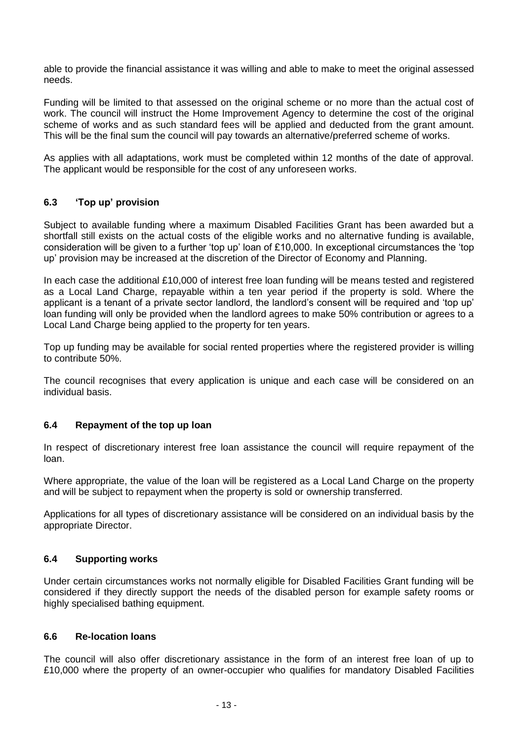able to provide the financial assistance it was willing and able to make to meet the original assessed needs.

Funding will be limited to that assessed on the original scheme or no more than the actual cost of work. The council will instruct the Home Improvement Agency to determine the cost of the original scheme of works and as such standard fees will be applied and deducted from the grant amount. This will be the final sum the council will pay towards an alternative/preferred scheme of works.

As applies with all adaptations, work must be completed within 12 months of the date of approval. The applicant would be responsible for the cost of any unforeseen works.

## **6.3 'Top up' provision**

Subject to available funding where a maximum Disabled Facilities Grant has been awarded but a shortfall still exists on the actual costs of the eligible works and no alternative funding is available, consideration will be given to a further 'top up' loan of £10,000. In exceptional circumstances the 'top up' provision may be increased at the discretion of the Director of Economy and Planning.

In each case the additional £10,000 of interest free loan funding will be means tested and registered as a Local Land Charge, repayable within a ten year period if the property is sold. Where the applicant is a tenant of a private sector landlord, the landlord's consent will be required and 'top up' loan funding will only be provided when the landlord agrees to make 50% contribution or agrees to a Local Land Charge being applied to the property for ten years.

Top up funding may be available for social rented properties where the registered provider is willing to contribute 50%.

The council recognises that every application is unique and each case will be considered on an individual basis.

#### **6.4 Repayment of the top up loan**

In respect of discretionary interest free loan assistance the council will require repayment of the loan.

Where appropriate, the value of the loan will be registered as a Local Land Charge on the property and will be subject to repayment when the property is sold or ownership transferred.

Applications for all types of discretionary assistance will be considered on an individual basis by the appropriate Director.

#### **6.4 Supporting works**

Under certain circumstances works not normally eligible for Disabled Facilities Grant funding will be considered if they directly support the needs of the disabled person for example safety rooms or highly specialised bathing equipment.

#### **6.6 Re-location loans**

The council will also offer discretionary assistance in the form of an interest free loan of up to £10,000 where the property of an owner-occupier who qualifies for mandatory Disabled Facilities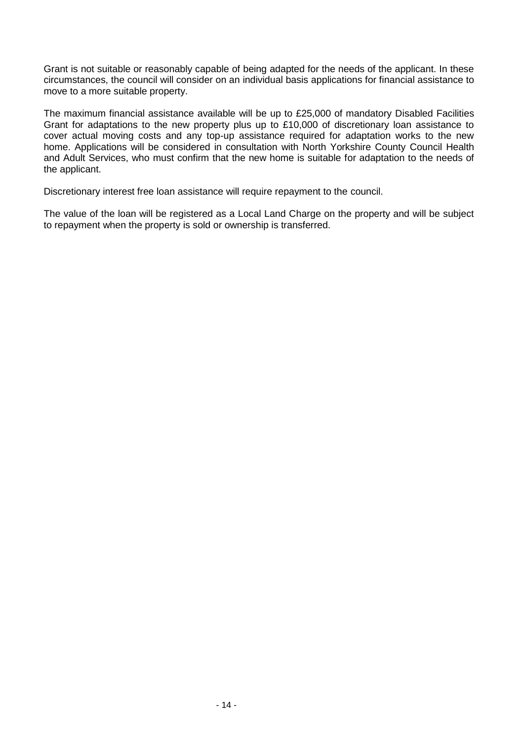Grant is not suitable or reasonably capable of being adapted for the needs of the applicant. In these circumstances, the council will consider on an individual basis applications for financial assistance to move to a more suitable property.

The maximum financial assistance available will be up to £25,000 of mandatory Disabled Facilities Grant for adaptations to the new property plus up to £10,000 of discretionary loan assistance to cover actual moving costs and any top-up assistance required for adaptation works to the new home. Applications will be considered in consultation with North Yorkshire County Council Health and Adult Services, who must confirm that the new home is suitable for adaptation to the needs of the applicant.

Discretionary interest free loan assistance will require repayment to the council.

The value of the loan will be registered as a Local Land Charge on the property and will be subject to repayment when the property is sold or ownership is transferred.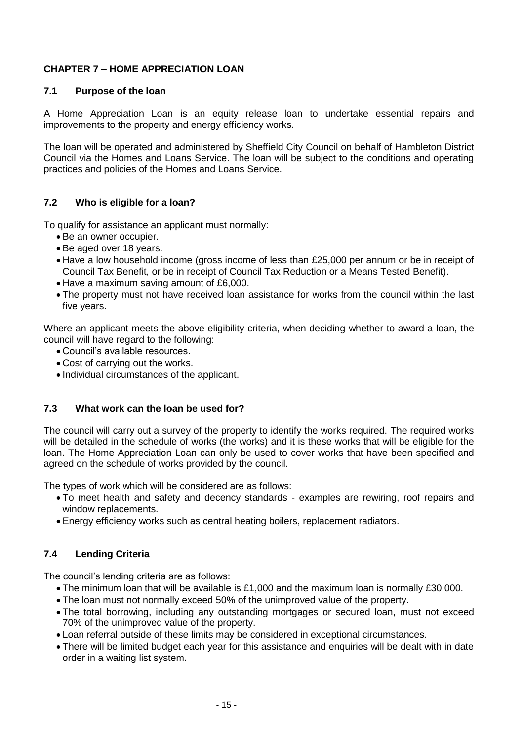# **CHAPTER 7 – HOME APPRECIATION LOAN**

# **7.1 Purpose of the loan**

A Home Appreciation Loan is an equity release loan to undertake essential repairs and improvements to the property and energy efficiency works.

The loan will be operated and administered by Sheffield City Council on behalf of Hambleton District Council via the Homes and Loans Service. The loan will be subject to the conditions and operating practices and policies of the Homes and Loans Service.

# **7.2 Who is eligible for a loan?**

To qualify for assistance an applicant must normally:

- Be an owner occupier.
- Be aged over 18 years.
- Have a low household income (gross income of less than £25,000 per annum or be in receipt of Council Tax Benefit, or be in receipt of Council Tax Reduction or a Means Tested Benefit).
- Have a maximum saving amount of £6,000.
- The property must not have received loan assistance for works from the council within the last five years.

Where an applicant meets the above eligibility criteria, when deciding whether to award a loan, the council will have regard to the following:

- Council's available resources.
- Cost of carrying out the works.
- Individual circumstances of the applicant.

# **7.3 What work can the loan be used for?**

The council will carry out a survey of the property to identify the works required. The required works will be detailed in the schedule of works (the works) and it is these works that will be eligible for the loan. The Home Appreciation Loan can only be used to cover works that have been specified and agreed on the schedule of works provided by the council.

The types of work which will be considered are as follows:

- To meet health and safety and decency standards examples are rewiring, roof repairs and window replacements.
- Energy efficiency works such as central heating boilers, replacement radiators.

# **7.4 Lending Criteria**

The council's lending criteria are as follows:

- The minimum loan that will be available is £1,000 and the maximum loan is normally £30,000.
- The loan must not normally exceed 50% of the unimproved value of the property.
- The total borrowing, including any outstanding mortgages or secured loan, must not exceed 70% of the unimproved value of the property.
- Loan referral outside of these limits may be considered in exceptional circumstances.
- There will be limited budget each year for this assistance and enquiries will be dealt with in date order in a waiting list system.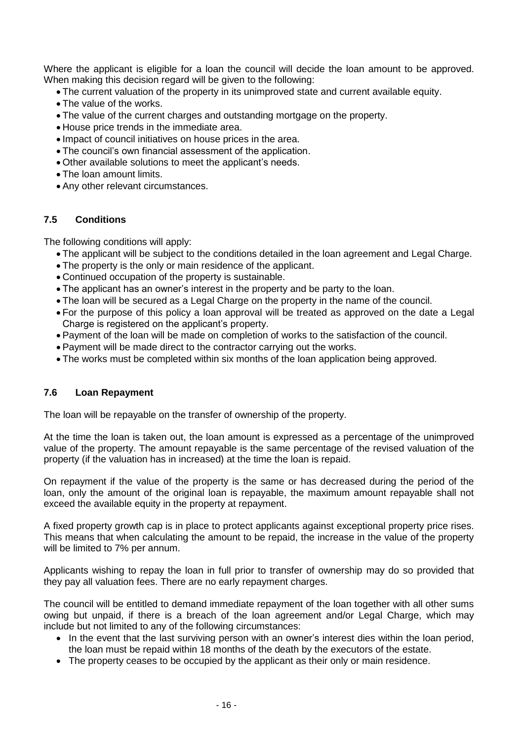Where the applicant is eligible for a loan the council will decide the loan amount to be approved. When making this decision regard will be given to the following:

- The current valuation of the property in its unimproved state and current available equity.
- The value of the works.
- The value of the current charges and outstanding mortgage on the property.
- House price trends in the immediate area.
- Impact of council initiatives on house prices in the area.
- The council's own financial assessment of the application.
- Other available solutions to meet the applicant's needs.
- The loan amount limits.
- Any other relevant circumstances.

#### **7.5 Conditions**

The following conditions will apply:

- The applicant will be subject to the conditions detailed in the loan agreement and Legal Charge.
- The property is the only or main residence of the applicant.
- Continued occupation of the property is sustainable.
- The applicant has an owner's interest in the property and be party to the loan.
- The loan will be secured as a Legal Charge on the property in the name of the council.
- For the purpose of this policy a loan approval will be treated as approved on the date a Legal Charge is registered on the applicant's property.
- Payment of the loan will be made on completion of works to the satisfaction of the council.
- Payment will be made direct to the contractor carrying out the works.
- The works must be completed within six months of the loan application being approved.

### **7.6 Loan Repayment**

The loan will be repayable on the transfer of ownership of the property.

At the time the loan is taken out, the loan amount is expressed as a percentage of the unimproved value of the property. The amount repayable is the same percentage of the revised valuation of the property (if the valuation has in increased) at the time the loan is repaid.

On repayment if the value of the property is the same or has decreased during the period of the loan, only the amount of the original loan is repayable, the maximum amount repayable shall not exceed the available equity in the property at repayment.

A fixed property growth cap is in place to protect applicants against exceptional property price rises. This means that when calculating the amount to be repaid, the increase in the value of the property will be limited to 7% per annum.

Applicants wishing to repay the loan in full prior to transfer of ownership may do so provided that they pay all valuation fees. There are no early repayment charges.

The council will be entitled to demand immediate repayment of the loan together with all other sums owing but unpaid, if there is a breach of the loan agreement and/or Legal Charge, which may include but not limited to any of the following circumstances:

- In the event that the last surviving person with an owner's interest dies within the loan period, the loan must be repaid within 18 months of the death by the executors of the estate.
- The property ceases to be occupied by the applicant as their only or main residence.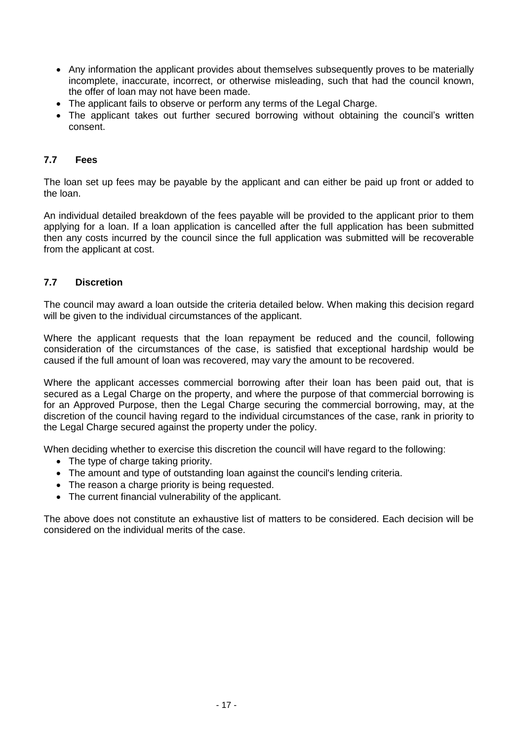- Any information the applicant provides about themselves subsequently proves to be materially incomplete, inaccurate, incorrect, or otherwise misleading, such that had the council known, the offer of loan may not have been made.
- The applicant fails to observe or perform any terms of the Legal Charge.
- The applicant takes out further secured borrowing without obtaining the council's written consent.

# **7.7 Fees**

The loan set up fees may be payable by the applicant and can either be paid up front or added to the loan.

An individual detailed breakdown of the fees payable will be provided to the applicant prior to them applying for a loan. If a loan application is cancelled after the full application has been submitted then any costs incurred by the council since the full application was submitted will be recoverable from the applicant at cost.

## **7.7 Discretion**

The council may award a loan outside the criteria detailed below. When making this decision regard will be given to the individual circumstances of the applicant.

Where the applicant requests that the loan repayment be reduced and the council, following consideration of the circumstances of the case, is satisfied that exceptional hardship would be caused if the full amount of loan was recovered, may vary the amount to be recovered.

Where the applicant accesses commercial borrowing after their loan has been paid out, that is secured as a Legal Charge on the property, and where the purpose of that commercial borrowing is for an Approved Purpose, then the Legal Charge securing the commercial borrowing, may, at the discretion of the council having regard to the individual circumstances of the case, rank in priority to the Legal Charge secured against the property under the policy.

When deciding whether to exercise this discretion the council will have regard to the following:

- The type of charge taking priority.
- The amount and type of outstanding loan against the council's lending criteria.
- The reason a charge priority is being requested.
- The current financial vulnerability of the applicant.

The above does not constitute an exhaustive list of matters to be considered. Each decision will be considered on the individual merits of the case.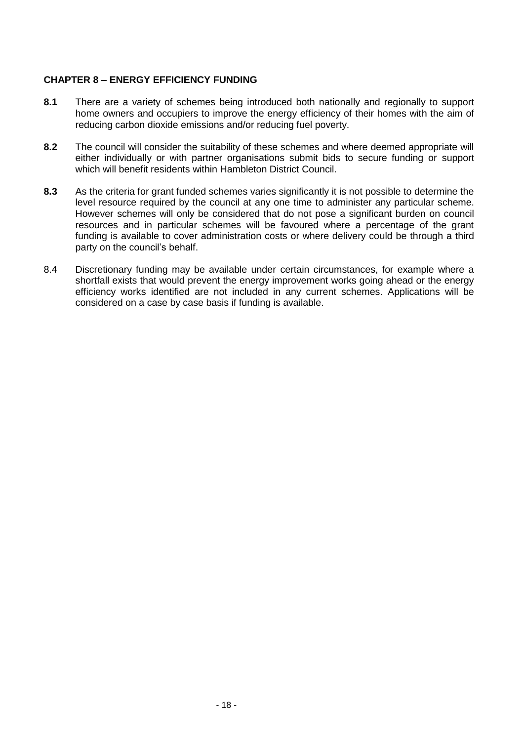## **CHAPTER 8 – ENERGY EFFICIENCY FUNDING**

- **8.1** There are a variety of schemes being introduced both nationally and regionally to support home owners and occupiers to improve the energy efficiency of their homes with the aim of reducing carbon dioxide emissions and/or reducing fuel poverty.
- **8.2** The council will consider the suitability of these schemes and where deemed appropriate will either individually or with partner organisations submit bids to secure funding or support which will benefit residents within Hambleton District Council.
- **8.3** As the criteria for grant funded schemes varies significantly it is not possible to determine the level resource required by the council at any one time to administer any particular scheme. However schemes will only be considered that do not pose a significant burden on council resources and in particular schemes will be favoured where a percentage of the grant funding is available to cover administration costs or where delivery could be through a third party on the council's behalf.
- 8.4 Discretionary funding may be available under certain circumstances, for example where a shortfall exists that would prevent the energy improvement works going ahead or the energy efficiency works identified are not included in any current schemes. Applications will be considered on a case by case basis if funding is available.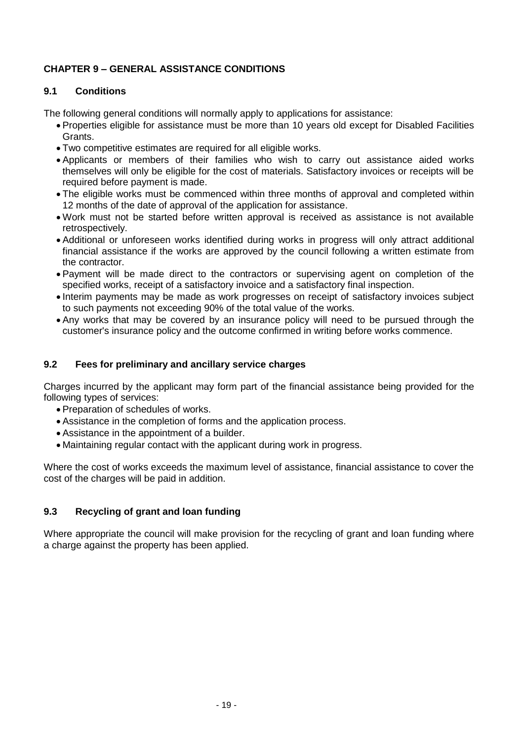# **CHAPTER 9 – GENERAL ASSISTANCE CONDITIONS**

# **9.1 Conditions**

The following general conditions will normally apply to applications for assistance:

- Properties eligible for assistance must be more than 10 years old except for Disabled Facilities Grants.
- Two competitive estimates are required for all eligible works.
- Applicants or members of their families who wish to carry out assistance aided works themselves will only be eligible for the cost of materials. Satisfactory invoices or receipts will be required before payment is made.
- The eligible works must be commenced within three months of approval and completed within 12 months of the date of approval of the application for assistance.
- Work must not be started before written approval is received as assistance is not available retrospectively.
- Additional or unforeseen works identified during works in progress will only attract additional financial assistance if the works are approved by the council following a written estimate from the contractor.
- Payment will be made direct to the contractors or supervising agent on completion of the specified works, receipt of a satisfactory invoice and a satisfactory final inspection.
- Interim payments may be made as work progresses on receipt of satisfactory invoices subject to such payments not exceeding 90% of the total value of the works.
- Any works that may be covered by an insurance policy will need to be pursued through the customer's insurance policy and the outcome confirmed in writing before works commence.

## **9.2 Fees for preliminary and ancillary service charges**

Charges incurred by the applicant may form part of the financial assistance being provided for the following types of services:

- Preparation of schedules of works.
- Assistance in the completion of forms and the application process.
- Assistance in the appointment of a builder.
- Maintaining regular contact with the applicant during work in progress.

Where the cost of works exceeds the maximum level of assistance, financial assistance to cover the cost of the charges will be paid in addition.

# **9.3 Recycling of grant and loan funding**

Where appropriate the council will make provision for the recycling of grant and loan funding where a charge against the property has been applied.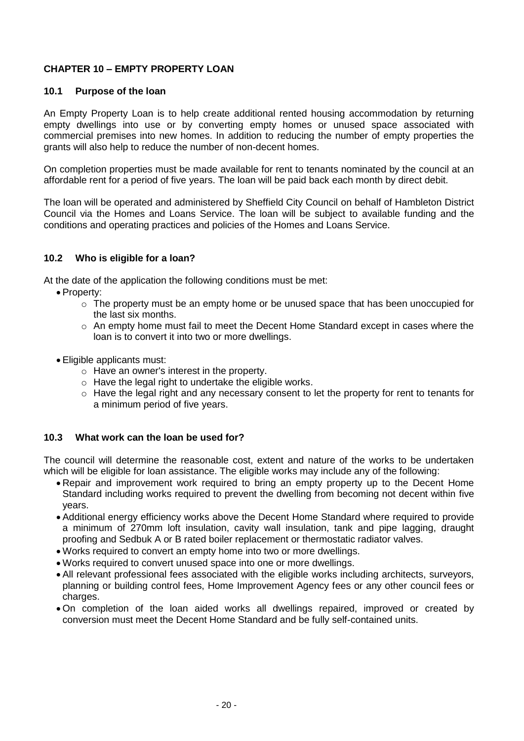# **CHAPTER 10 – EMPTY PROPERTY LOAN**

#### **10.1 Purpose of the loan**

An Empty Property Loan is to help create additional rented housing accommodation by returning empty dwellings into use or by converting empty homes or unused space associated with commercial premises into new homes. In addition to reducing the number of empty properties the grants will also help to reduce the number of non-decent homes.

On completion properties must be made available for rent to tenants nominated by the council at an affordable rent for a period of five years. The loan will be paid back each month by direct debit.

The loan will be operated and administered by Sheffield City Council on behalf of Hambleton District Council via the Homes and Loans Service. The loan will be subject to available funding and the conditions and operating practices and policies of the Homes and Loans Service.

#### **10.2 Who is eligible for a loan?**

At the date of the application the following conditions must be met:

- Property:
	- $\circ$  The property must be an empty home or be unused space that has been unoccupied for the last six months.
	- $\circ$  An empty home must fail to meet the Decent Home Standard except in cases where the loan is to convert it into two or more dwellings.
- Eligible applicants must:
	- o Have an owner's interest in the property.
	- o Have the legal right to undertake the eligible works.
	- $\circ$  Have the legal right and any necessary consent to let the property for rent to tenants for a minimum period of five years.

#### **10.3 What work can the loan be used for?**

The council will determine the reasonable cost, extent and nature of the works to be undertaken which will be eligible for loan assistance. The eligible works may include any of the following:

- Repair and improvement work required to bring an empty property up to the Decent Home Standard including works required to prevent the dwelling from becoming not decent within five years.
- Additional energy efficiency works above the Decent Home Standard where required to provide a minimum of 270mm loft insulation, cavity wall insulation, tank and pipe lagging, draught proofing and Sedbuk A or B rated boiler replacement or thermostatic radiator valves.
- Works required to convert an empty home into two or more dwellings.
- Works required to convert unused space into one or more dwellings.
- All relevant professional fees associated with the eligible works including architects, surveyors, planning or building control fees, Home Improvement Agency fees or any other council fees or charges.
- On completion of the loan aided works all dwellings repaired, improved or created by conversion must meet the Decent Home Standard and be fully self-contained units.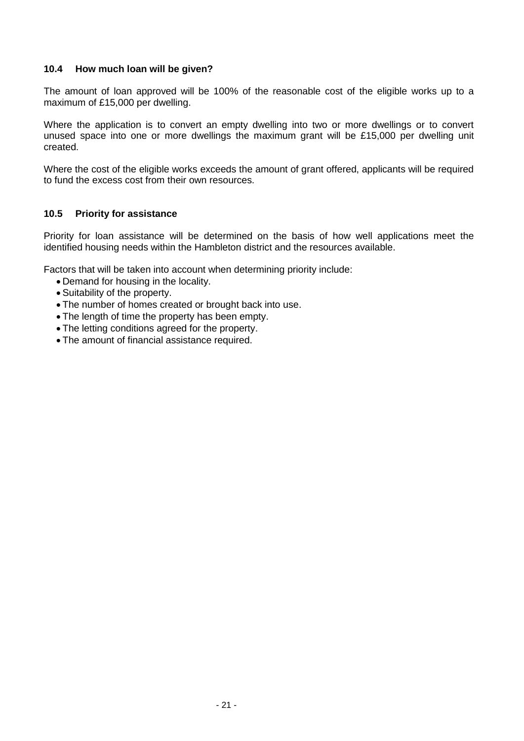## **10.4 How much loan will be given?**

The amount of loan approved will be 100% of the reasonable cost of the eligible works up to a maximum of £15,000 per dwelling.

Where the application is to convert an empty dwelling into two or more dwellings or to convert unused space into one or more dwellings the maximum grant will be £15,000 per dwelling unit created.

Where the cost of the eligible works exceeds the amount of grant offered, applicants will be required to fund the excess cost from their own resources.

## **10.5 Priority for assistance**

Priority for loan assistance will be determined on the basis of how well applications meet the identified housing needs within the Hambleton district and the resources available.

Factors that will be taken into account when determining priority include:

- Demand for housing in the locality.
- Suitability of the property.
- The number of homes created or brought back into use.
- The length of time the property has been empty.
- The letting conditions agreed for the property.
- The amount of financial assistance required.